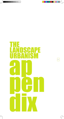# ap the landscape urbanism pen di la

 $\vdash$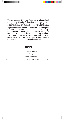The Landscape Urbanism Appendix is a theoretical appendix to Chapter 1: Imaging Landscape. Here supplementary writings on specific landscape urbanist aspects are elaborated on. First the concept of processes and James Corner's surface strategies are introduced and expanded upon. Secondly, landscape urbanism is given perspective through a comparative study with other contemporary positions that make up the urbanism of our time. Thirdly, contemporary approaches and landscape urbanism are accounted for in a historical perspective.

#### **CONTENTS**

 $\Xi$ 

 $\overline{\overline{\phantom{a}}_{\vert}}$ 

| <b>Performative Processes</b>                       | iii       |
|-----------------------------------------------------|-----------|
| Surface Strategies<br><b>Contemporary Positions</b> | vii<br>ix |
|                                                     |           |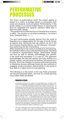### PERFORMATIVE PROCESSES

The notion of performativity which this project applies is based on a notion of ecology based on processes, both social and physical, local and global. Performativity in this sense relates to a process-based stance to planning that aims for adaptable and dynamic solutions rather than a fixed and static design.

*"Thus performance shifts the focus of interests from essence to effect. The question is not what something is, but what it does."* Andreas Ruby (Gausa, p. 476)

The word *performative* actually derives from the world of linguistics as a categorisation for the type of words known as speech acts, utterances that can perform an act in the very moment of being uttered, e.g. the utterance '*I promise*', thus performing the act of promising. (www.wikipedia.com; www.dictionary.com) When transferred to the world of architecture and planning, this definition offers a new understanding of space. Standing in contrast to representative design, performative design can thus be said to actively acknowledge and perform in the world and processes it is a part of. This approach acknowledges the fact that spaces are living entities of a greater system, and will never be finished, but always be in process. Not to be mistaken for simply performance events or interactive devices (although these are also methods of engaging social processes), performativity in this sense is thus lifted to a higher level of understanding.

iii

The following is a discussion of the way these processes can become physical space, and how an overall planning must collect these processes.

#### PROCESS CYCLES

In landscape architecture, the surface is not a flat lifeless plane, but rather a thick section of characteristics and behaviour, described by Stan Allen as a thick 2D. (Allen 2001, pp. 124 - 125) Soil has permeability and plants have height and growth rate – all characteristics that make the surface a living carrier of flows and processes. The term processes may connotate a wide spectre potentials: architectural and planning processes, urban processes, social processes and even biological processes. To clarify this, the term *process cycles* in introduced. This is inspired from Graham Shane's use of the term 'performative cycles' as a way of describing the processes and their time-frame that design can and must engage. Here he differentiates between different scales of cycles, long-term and short-term, that a design must take into account. (Shane, p. 33) Engaging biological and social cycles at different scales also enables a more bottom-up approach, where small-scale cycles such as flea markets and street fairs can transform a space for a short span of time, or local clubs and associations can contribute to a design process. Here the potential of the local comes into play, and can be connected to the otherwise dominant global tendencies. According Shane, combining top-down and bottom-up approaches is a way of interconnecting the different performative cycles.

This view is supported by Jens Kvorning's ideas of *resistance* and *responsiveness* of a place. He argues that a place, and thereby the design, must contain a resistance towards the universality of global tendencies, and that this resistance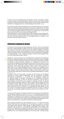is found in the local. Simultaneously, the design must also incorporate a degree of responsiveness towards these global tendencies, which is the means by which the place can interact and perform at lager scales. His terminology emphasizes the importance of engaging both local and global/regional processes. (Kvorning)

By perceiving public space and architectural form as performative and as a process cycle, new meanings emerge regarding the experience of programmes, the nature of landscape and the significance of global and local connectivity. It also encourages new connections between different processes thus shaping new comprehensive process cycles that link across social and biological fields.

These ideas call for a clear understanding of which processes we are dealing with, both with regard to overall planning processes and concept for implementation, but also more concrete processes which can be engaged actively in a design. Let us first take a look at the latter of the two.

#### Processes Engaged in Design

iv

Processes can be perceived as space happening over time. This is why processes pose such a great potential to design, as the art of space-making cannot ignore the context it is connected to. Here we will look into different categories of potential 'space-making' processes, whether biological, urban or social. Activating such a wide range of processes that do not spring from the world of architecture necessitates an interdisciplinarity, a sort of expert knowledge in technical and biological knowhow which landscape urbanism calls for.

Biological or natural processes are what traditionally characterise the landscape, and two main arguments support the use of this type of processes. Firstly, if engaged in planning, as Graham Shane also pointed out, the natural mechanisms of a place are utilized as space generators. Secondly, our relationship as humans to the environment is changing, and sustainability is key word of the 21st century. From an ethical point of view, architecture needs to reflect this and promote environmental awareness. When working with landscapes, either as part of vast open lands, in urban parks or even urban landscapes such as suburbia, it is interesting to note that we do not have framework sufficient enough to comprehend the complexity of these situations. We have theories based on ideas of art and history and we have environmental models which exclude visual and spatial representations of culture. (Berrizbeitia, p. 117)

If we take a look at current studies in ecology we find that they are increasingly beginning to involve spatial investigations and the importance of patterns and patches on biodiversity. (Hill, p. 94) In this view, the disciplines of design and of ecological studies are already intertwining, as our biological environments are influenced whenever we alter our physical environments. The fact that an encouragement of biodiversity and a support of ecological corridors are directly linked to spatial parameters presents in itself an almost design strategy that could be grasped in urban design. Of course, the situation is not as simple as this, as many more processes, their dynamics and the way they influence each other must also be taken into account. However, it is a potential that urban design can use as a means of promoting biological sustainability while also providing "*a profound window into our humanity, simply by teaching us that we are not all there is to life*." (Hill, p. 100)

Continuing in these tracks, a biologist would also teach us that openness and flexibility are necessary conditions for survival. (Berrizbeitia, p. 120) Ecological productivity and viability, not only biological but also social and cultural, must be included by ensuring possibilities for self-renewal and variation by accepting the design as a permanent process of transformation. This clearly implies that traditional masterplans are too static and pre-decided to incorporate the dynamics of the landscape.

Urban residual processes are also biological of a sort – at least the process through which they live is a biological one. To exemplify such a process, one could name waste water treatment, waste disposal or phytoremediation of soil. These processes also put focus on environmental sustainability and especially have potential of emphasising the relationship between humans and our environment, perhaps even more that biological/natural processes. Here we are dealing with the treatment of our own waste and its effects on our environments. Ironically though,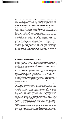these are processes often hidden away from the public eye, a process to be found latent in the functions of the city, but never actively confronted. Activating these urban residual processes and opening the potential of their interaction with other processes, especially social processes, is a way of provoking awareness and debates surrounding our cities and the part they play in the rest of the world.

Lastly we have social processes, which differ a great deal from the two first. Activating these immaterial and abstract social processes in a design can be achieved by working with programmes. Social processes can never be directly controlled or predicted, but through thoughtful and deliberate programming, an attempt can be made to guide these social processes in certain directions.

One such direction would be to secure open and accessible public spaces, which diverse programming can help ensure – programmes that invite different types of people into the same space. Programming can also be used to encourage the confrontation between social processes, the human, and the biological and urban residual processes, the environment. This confrontation should occur in the public space, but also has potential in the more private sphere of the home.

Programmes especially become interesting when seeing their potential as layers and as a way of creating hybrids. Just like other processes, these too are dynamic as they breathe in and out over time, varying in both timeframes and space consumption. The event character of some programmes, having a very short time span, can be used to create hype and excitement, whereas long-term activities can help encourage a feeling of belonging and ownership of a place.

#### A Democratic Urban Environment

Engaging processes, whether material or immaterial, natural or cultural, into a combined system leads us to the realm in which they meet: public spaces. But what type of public space can truly engage a variation and the unpredictability of processes on the terms of our democracy? In other words – how do we design democratic public spaces?

 $\prec$ 

According to Iris Marion Young, public spaces should be open and accessible and a place to encounter differences. (Mitchell, p. 104) Public space is where humans are confronted with the unknown, a place where we are engaged into a form of dialogue from which we cannot escape. (Brændgaard, p. 18) These dialogues can be with other people, similar or dissimilar to ourselves, with our environment and urban landscape or perhaps with direct anarchy itself. However, tendencies indicate that such open public space is in fact threatened by an increasing privatisation, control and surveillance of the spaces. Such a public space is no longer democratic, as it is not accessible to all.

In an article assessing the Downsview Park competition, Don Mitchell and Richard Van Deusen present three normative visions of public space in relation to their design and use. (Mitchell, pp. 105 - 106) The first approach argues that public spaces can only flourish if they are open to their own subversion, e.g. where activists or demonstrators seek to transform the use of the space for political agendas. The second approach counter argues this by claiming that residents need to be allowed to come together to bask in each other's company. Therefore they must be protected by the threat of anarchy. The third approach puts focus on the ideal of the market, where public space historically always has been structured in accordance with the market. Ironically, the market involves consumer-driven spaces, which yet again gives rise to spaces of exclusion as seen in the mall phenomenon. Mitchell and Van Deusen argue that in this light, public spaces should be seen as dialectical spaces where the pressures between control and appropriation are negotiated. They therefore put focus on the fact that publicness cannot only be encouraged through design itself, but also though the implementation and administration of the design.

These are the aspects through which the public are allowed to leave their own trace upon the space and can participate in shaping it themselves, and where the processes of the space confront each other and interact. A democratic public space thus becomes a space of learning and tolerance, not only of other human beings, but also of the world in which we live.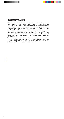**PROCESSES OF PLANNING**<br>When zooming out to look at the implementation and administration<br>are brought into play: economic ane<br>again – all quite immaterial processes<br>a prominent role. Social processes is<br>as before, but thr When zooming out to look at the overall planning process of negotiations, implementation and administration of a design, a whole new range of processes are brought into play: economic and political processes and also social processes again – all quite immaterial processes that may be difficult to grasp, but still play a prominent role. Social processes materialize here not through programmes as before, but through aspects such as public interest or participatory planning. Economic and political processes imply the forces that reign in a planning process: the market forces, the power of the municipality and of the state. Engaging these processes together entail a sort of 'agent management', where stakeholders and interest group – both private and public – are considered and activated in and around the design.

This agent management is seen as extremely vital and as the means through which an open-ended planning can successfully be implemented. Without a means of administrating the design or invoking interest and responsibility from citizens, businesses or authorities, the plan may never come to life.

 $\overline{-1}$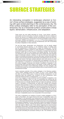## surface strategies

An interesting conception in landscape urbanism is Corner's three surface strategies, suggested as a way of working with open-ended planning in the contemporary city. His three surface strategies refer to his perception of the contemporary city as a horizontal surface constructed in three layers: demarcation, infrastructure, and adaptation.

> These layers are only briefly described by Corner. "*Land division, allocation, demarcation and the construction of surfaces constitute the first act in staking out ground; the second is to establish services and pathways across the surface to support future programmes; and the third is ensuring permeability to allow for future permutation, affiliation and adaptation*" (Corner, 2003, p. 60) The surface strategies hence work with preparation of a given site and simultaneously work with incorporating the ability of adaptation to future demands.

> The two first layers, demarcation and infrastructure, can be directly related to conventional physical planning, i.e. the traditional creation of building plots and the establishment of infrastructures to supply the building plots. The third layer adaptation, however, presents an extra dimension in comparison with the conventional approach to planning, as it incorporates a ecological and processual dimension which calls for more dynamic and flexible planning. The third layer can therefore be seen as the conceptual layer which embeds the most important aspect of landscape urbanism. Likewise, it is also this third layer that inserts the notions of processes and dynamics in the two other layers, because the third layer adapts, moves and decomposes the demarcation and infrastructure over time. This means that Corner's third layer embeds elements which both secure an overall architectonical frame and allows for transformation and adaptation over time. The main distinction in comparison to conventional planning thus lies in the fact that the surface strategies incorporate and activate a possibility of adaptation in the structural plan which has direct impact on the design. In other words, the surface strategies accommodate mutual relationships between the three strategies, with the result that a project can vary programmatically without compromising the overall architectonical concept.

vii

Corner expresses potential of the surface strategies in the following quotation: "*These surface strategies permit the creation of more or less coherent fields that allow an almost infinite range of varied and flexible arrangements. As vast organizing fields that establish new conditions for future development, these horizontal matrices function as infrastructures*." (Corner, 2003, pp. 60)

Corner thus engages an open-endedness and the possibility of adaptation in his three surface strategies, which is a way of incorporating and working with the dynamic of the contemporary city. The quotation also points at the understanding of infrastructures as a broader definition than just roads and pathways, and thus implies a perception of infrastructures as being both material and immaterial processes which operates on a site. In this view the second surface strategy seems dynamic in itself due to the engagement of several of processes and flows at work on the site. The processes and flows are thus orchestrated into new matrices of interrelationships with the potential of stirring new relationships on the site. By unfolding the concept of infrastructures to encompass processes and flows somehow separates the second layer from the traditional perception of infrastructure, as the third layer of adaptability seems to be incorporated in the second layer.

This view is supported by an analysis of Corner's surface strategies in a Ph.D. paper by Rune Bach, who argues that the third layer of adaptability needs to be incorporated in the demarcation and infrastructure layer because the third layer introduces permeability and adaptability in relation to demarcation and infrastructure. (Bach, p. 8) This means that demarcation and infrastructure have to be embedded with the possibility of adaptation. As such, demarcation needs to be capable of absorbing new programmes over time, meaning that demarcation is the creation of surfaces which can adapt to different uses in time without neglecting the overall structure embedded in demarcation. Acknowledging that adaptation has to be incorporated in both infrastructures and demarcation, the surface strategies are highly challenging to conventional planning as the plan will take form as an operational tool constantly working with stimulating the processes working on site. This indicates the move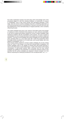from static masterplans towards more fluid plans which acknowledge each of the processual stages of a site from existing conditions, to construction, to erasure or revitalisation. Such a plan works actively with stimulating potentials in each stage. Here the Corner's surface strategies bring forth a refreshing elaboration on conventional planning tools by reversing them to dynamic structures that work with the establishment of new interrelationships of mapped potentials, which constantly influencing the plan.

The surface strategies also pose a risk, however. Rune Bach points at the danger of creating too loose a framework that proposes too many unknown parameters. It can thus be argued that projects inspired by Corner's surface strategies might experience problems with the consolidation of the projects. The more a project is consolidated, the more it freezes the frame of the project and its ability to adapt and transform. This point to the probability that surface strategies are most appropriate when operating either on a very large scale with a wide time perspective where the design slowly consolidates or on a small scale, such as park design, with a low degree of consolidation. (Bach, p. 9)

Even though projects inspired by Corners surface strategies are at risk of being either too "loose" in their design or too fixed with reduced ability of adaptation, the surface strategies seem to be capable of working with open-ended planning in nature of the three layers mutual relationships. In spite of the criticism of the lacking consolidation of open-ended projects, Bach concludes that the three surface strategies are qualified for the preparation of a landscape urbanism project on the premises that the surface strategies are designed to absorb changes over time without comprising the underlying architectonic and conceptual basis. (Bach, p. 10)

 $\overline{\overline{\phantom{a}}_{\vert}}$  |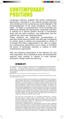### contemporary positions

Landscape urbanism, together with similar contemporary approaches, represents a new attitude towards planning and architecture in the contemporary world reflected in the acknowledgement of the rising complexity of the urban realm. To obtain a comprehension of the similarities and differences between the approaches, landscape urbanism is outlined as a distinct position through a comparative study with two other positions: *new pragmatism* and the *network city*, which are presented below.

These positions are categorises conceptualised to describe certain planning trends, and although overlapping on certain areas or almost non-comparative on others, it is thought that these categorisations can offer an insight into contemporary approaches and a means of unfolding the theory of landscape urbanism in relation to other contemporary approaches.

After the following presentation of the network city and new pragmatism, the comparative study will subsequently examine each position in relation to three themes: philosophy, design media and planning.

ix

### Network City

*"As an adjective, the term "network" is quite successful in negotiating the multi-dimensionality of the city….. The innumerable parts of the city…. are recognized and then connected to a larger whole – the network. Such a rhetorical move has theoretical power, making it one of the more attractive metaphorical constructions currently present in urban theory, if not (yet) a new paradigm."*

Beauregard (www.metropolitanstudies.de/fi leadmin/fi lestorage/Network\_City\_Series\_Stand\_02-20-07.pdf)

*"If the city is to survive, process must have the final word. In the end the urban truth is in the flow."* Spiro Kostof (Graham 2001)

> The network city position should be viewed as an understanding of the contemporary urban condition rather than a concrete planning method. This understanding is unfolded by a range of theorists such as Stephen Graham, Saskia Sassen and Ann Markusen, who all seek redefine our perception of cities and urban regions in the age of globalisation, network society and virtual technologies. The position thus represents a greater discussion not only relevant for architects and planners, but also sociologists, geographers, economists, politicians and investors, as it proposes a whole new understanding of our cities in all aspects. With regard to architecture and planning, many contemporary projects indirectly grasp this understanding to different degrees, although not advocating a network city stance directly. The expression 'network city' is therefore a term in this project given to the tendency to collect these writings and theories under one title.

> The main focus of the network city is on networked infrastructures – transport, telecommunications, capitals, energy, water and streets – that make up cities and urban regions, and contemporary urbanism thus emerges as a complex and dynamic sociotechnical process, the contemporary city is therefore viewed as ecosystems of competing networks. (Graham 2001, p. 8)

> This prompts an additional layer of understanding to the urban realm, signalizing that the contemporary world is composed through numerous points and lines with hierarchal value, defined by the number of links in the global system. According to this position, the traditional perception of the urban realm as composed of solely physical forms, buildings, streets, parks and public spaces, no longer applies to the contemporary city. Instead the urban sphere, as suggested by Jürgen Habermas,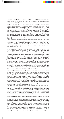should be understood as the assembly and dialogue that it is constituted of, this being through media as much as through any physical infrastructure. (http://varnelis. net/books/networkcity/proposal)

Graham describes these urban processes as constituted through many superimposed and interconnecting infrastructural 'landscapes', which rely on each other and co-evolve with urban development and urban space. (Graham 2001, p. 8) These different landscapes are exemplified by Graham as the 'electropolis' of energy, the 'hydropolis' of water and waste, the 'cybercity' of electronic communication or the 'autocity' of motorised roadscapes. (Graham 2001, p. 8) Planning the contemporary city must therefore consider the ever changing character of the city spaces, while simultaneously looking at the architectures of these physical and virtual systems that connect and mediate the urban spaces and lives in order to understand how place, space, power and technology interweave to shape the contemporary urban condition.

This perspective brings architecture and urbanism together with issues surrounding the social and technical make-up of mobility systems like the internet and transport systems, which calls for an interdisciplinarity that draws on sociology, planning, geography, sociology of technology and urbanism – an interdisciplinarity that acknowledges the co-dependency between the different 'landscapes' of urban processes. (Graham 2002, p.120)

In the discussions of the network city, attention is given to issues of identity, place and geography, issues of great importance in the architectural world, but also issues which may seem threatened by the tendencies of the network city.

According to Graham, of special interest here are especially the hubs – or the points – of the network city. He pinpoints that leading distribution hubs for road, rail, sea and air logistics seem to emerge as mini-cities in their own right due to their connecting flows, while also delinking from the immediate spaces around them to a certain extent. (Graham 2004, p. 165) This is a tendency where physical place begins to lose its meaning, connecting to the global in neglect of the local scale, defining themselves by the power of their connections elsewhere – a splintering urbanism. Graham describes how these hubs, be they manufacturing spaces, logistics enclaves or airport zones, remove themselves from the surrounding social worlds of the city with an amazing ease through subtle and invisible but nonetheless highly powerful technologies and social practices. (Graham 2004, pp. 180 – 181)

The fact that globalisation and social and spatial fragmentation are complementary processes have likewise been shown by authors such as Saskia Sassen and Manuel Castells. A global network of interconnected nodes has been created, Sasssen's so-called 'global cities, which most often are defined as large scale areas of high density and concentrations of power. This leaves a huge number of fragmented and increasingly powerless local zones – a disintegration of what we traditionally know as urban space. (GUST 2002, p. 19) Simultaneously, the global city spawns its own contradictions. As downtown business centre grows, it becomes increasingly expensive and congested, while the outlying areas in response grow farther and farther removed from the global city core, hereby generating their own secondary business centre. (http://varnelis.net/books/networkcity/proposal)

Ann Markusen describes this tendency through the terms sticky and slippery spaces. Sticky places are the high valued centres of control, research and innovation and the slippery spaces are the decentralised places, where lower valued activities are established. The tension between concentration and deconcentration are at all scales embedded in the relationship between urban and network architectures, resulting in a much more fluid and fractured urban form, where the urban periphery can be the centre and the centre can be the margin. (Graham 2002, p. 111-112)

Here it is important to notice that the virtual networks are not replacing the physical need of place.

Sassen emphasises that globalisation and 'the digital' has entailed a major transformation, but not a neutralisation of the built environment or the city. "*Rather than being neutralized, these emerge with renewed and strategic importance…*" (Sassen p. 46) In fact she stresses the importance of seeing the links between global and local networks, where local entities which are sited materiality also are part of global digital networks.

The cities are here seen as communications system or media, and media is in this sense viewed as fundamental in the transmission of information. Just like a newspaper or a blog, a city enables ideas, opinions, attitudes, and messages to

×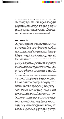spread rapidly. Additionally, investigations also reveal that physical face-to-face meetings still matter in terms of business, and therefore the global metropolitan areas also seems to centre in the global cities. The globalisation has, however, not neglected the importance of the local dimension. The network is a structure in which both local and global order exists. The two are equally important to the perfect functioning of the system. Investigations prove the need for local dimensions, seen in the facts that people tend to settle in neighbourhoods where they feel comfortable. Factors such as education possibilities, work, history of the place and housing types matters. Simultaneously, virtual communication often occurs between people located at close distance, which further proves that the network city operates on both the global and the local scale. (http://varnelis.net/books/networkcity/proposal)

#### new pragmatism

The essence of new pragmatism is its anti-ideological approach to the world that states a necessity for starting with the realities and understanding the existing conditions before moving further on and starting a transformation. New pragmatism thus differs from other tendencies by embracing the reality with all the layers that this involves. It searches for solutions grounded in the reality and needs that exist at this moment instead of creating a society based on new ideologies and ideals. By not only focusing on the specific building site or specific materials but also incorporating the context in which to build, the world complexity and composition, pragmatic solutions often settle with standard conventions and ideas. It thus acknowledges that it is no longer possible to plan the city on the premises that the city will follow the plan. New pragmatism operates with analysis of the underlying problems as form parameters, which leads to new solutions on each specific problem. (Kleis, p.7; Nielsen, p. 14)

One of the main advocates of a new pragmatism approach is Rem Koolhaas. Along with his theories and projects from the 1990's, pragmatism became an actual 'paradigm' within architectural discussions. However, new pragmatism is not to be understood as a particular architectural style, but more an approach and a method of perceiving and operating within the contemporary city. Rem Koolhaas has been an inspiration to many architects and theorists over the years and his thoughts have been modified into many different planning approaches. James Corner is one of these, as he uses many projects of Rem Koolhaas as an inspiration for new projects and thoughts.

The term '*new pragmatism*' derives from the classical pragmatism formulated by the American philosopher Charles Sanders Peirce in the late nineteenth century. It came to fruition in the early twentieth-century philosophies of William James and John Dewey. Their attempts to reconcile the rationalism's interests for principle (what *should be*) and the empiricism's interests for proven facts (what *is*) are fundamental for the contemporary way of thinking within pragmatism.

The epistemology of pragmatism settles with metaphysical ideals concerning understanding as something that can be acknowledged independently of observations, as the approach challenges the assumption that knowledge and operation are two separated spheres. Accordingly, pragmatism invalidates ideologies and theories of the future by instead focusing on what is here and now; '*Things in the making*' as William James formulates it. The pragmatic approach contains a fundamental principle that a theory about knowledge (how things should be) only is valid if it has consequences – if it makes a difference. If an idea or a theory does not have any effect, it is from a pragmatic view not real. (Nielsen; Mortensen, pp. 123 - 124)

This understanding of the world becomes relevant in the contemporary world of unpredictability and constant changeability, why architects such as Robert Venturi and Denise Scott Brown already in the 1970's bring this way of thinking into life within architecture. With their studies in Learning from Las Vegas they are some of the first architects who operate within the field of pragmatism. While the critique of modernism often resulted in historical architecture and centralised pre-modern cities with basis on ideals and principles, Venturi and Scott Brown took starting point in the specific solution based on individual desires and needs of the users. (Nielsen) Both are positive for the pragmatic ideas formalised by Charles Sanders Peirce, especially because it is anti-ideological, and states that the 'world' cannot wait for the architects' completion of utopia. The most important business for the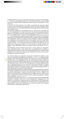architects should be not to worry about what should be, but instead of what already is – and how to immediately improve this. They state that this is a more humble role for the architect that the modernists would accept; but artistically it is more promising.

It was not until Rem Koolhaas in the 1990's re-actualised the approach started by Venturi and Scott Brown that pragmatism became an actual 'paradigm' within architectural discourse. With his theoretical works the pragmatic term was developed into a position. (Nielsen)

The American philosopher John Rajchman was in 1997 the first to formulate the term 'new pragmatism' as a notion with roots in the classical pragmatic ideas but based on the realisation that the classical pragmatism no longer could embrace the new conditions with a dynamic and unpredictable future. (Nielsen, Rajchman, pp. 212 - 213) New pragmatism primarily operates within the same field as the classical pragmatism, but as pragmatism responds statically to alteration and unpredictability, new pragmatism seeks to incorporate these tendencies. Rajchman described new pragmatism as concerning the forces that operate within the urban realm as unpredictable, but as forces which we can articulate and experiment with as "things in making". "*It is about forces that we can't predict, with which we can only*  experiment. It supposes a relation to a future that we can neither program nor *project. – About what William James once called 'Things in the making'* ". (Rajchman,  $p. 212$ 

Thus Rajchman places architectural discourse in a new category of pragmatism where architecture gets a more active role in development of the society by designing the physical framework for the unpredictable needs of the society. Hereby architecture is no longer an active physical construction but also an active social, ecological and mental construction

The methods within new pragmatism are based on Rajchman's definition of the term as "*a pragmatism of diagram and diagnosis*". (Rajchman, p. 212) New pragmatic strategies take, with diagnostic methods, the existing city as their starting point, and are open for the changeability of the city. These methods hereby replace the cognitive modernistic approach which seems to be condemned to failure as it does not *diagnose* the city – it does not take starting point in the actual conditions of the city but instead predicts the city as a constant territory with permanent functions and a predictable progressive act. There is no assumption of truth or positivist methodology; instead, the pragmatic planner reveals new possibilities latent in a given field simply by framing the issues differently.

 $\overline{x}$ 

New pragmatists diagnose the existing conditions and operationalise the collection of numbers, quantities, facts and pure data. By describing these in diagrams they become form parameters in relation to a specific design. The term 'diagram' thus gets a new meaning within new pragmatism as something that can function as an active, operational tool rather than just a passive, graphic presentation of already known conditions. (Rajchman, pp. 215 - 217)

The diagram is thus the architect's tool - an operational method which pragmatically handles the situations that occur in the contemporary, changeable city. The diagram is an open plan, working with all the complex layers of the contemporary city, not programmed or predetermined, but with space for transformation and unpredictability; a plan that visualizes the real world as dynamic and constantly producing new unpredictable opportunities.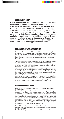#### comparative study

In this comparison the distinctions between the three approaches of landscape urbanism, network city and new pragmatism are revealed, indicating a new attitude towards working more processually and dynamically in the attempts to integrate the complexity of the contemporary city. Thus in all three approaches we witness a shift from a dualistic philosophy to that of world complexity, from a figure-ground media to an ecological media and from static to dynamic open-ended planning, and a discussion of these themes will cast light on the potentials that each of the approaches holds and how they can supplement each other.

#### philosophy of world complexity

In regard to their perception of the world, all three approaches recognizes the complexity of the contemporary city as a system of interrelated dynamic forces and do away with the previous dualistic conceptions of the world into centreperiphery, city-countryside or urban-suburban. They all merge these concepts in favour of viewing the contemporary city as a place of change, unpredictability and potentials.

Their approaches are similar as they all try to do away with traditional dichotomies in their world perception, although evolving around different parameters.

xiii

The network city approaches puts great focus on the acknowledging the dynamics of global and local flows and merging these into a combined system. Globalisation therefore becomes a key concept here.

New pragmatism concentrates around the dynamics of the layers constituting the contemporary city, not only defining them as part of an overall network, but also as possible pieces to be set into play. This often revolves around a quite programmatic approach where architecture is almost defines through programmatic organisation, and thus architecture and programmes merge.

Landscape urbanism views the world as an ecological surface, containing and absorbing the different layers, immaterial and material flows of the contemporary city, signalizing that the points and lines are just some of the factors, which constitute the contemporary city. Of importance here is especially the merging of nature and culture into one coherent system that are interdependent of each other.

### ecological design media

Seemingly, all three approaches evolve around the notion of *ecology*, albeit in a variation of ways.

The Network City approach describes the world as an ecosystem of competing networks. The landscape urbanism approach seems to expand this definition of an ecosystem by perceiving the world as a thick living mat of accumulated patches and layered systems, thus including the 'networks' of biology and nature into their perception. Here they operate with the term 'processes' to signify this, and these processes can be social or physical, natural or cultural. New Pragmatism recognises the complexity of different operative layers and dynamics of the contemporary city, but the approach does not use the exact term ecology to describe their philosophy. However, its notions can be elaborated into an ecological system of different influential layers with regard to especially programmes.

These different ecologies are also linked to their perception of landscape and architecture, i.e. the design media, which is the aspect in which the three approaches seem to vary the most.

The Network city approach concentrates around the dynamics of material and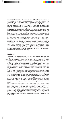immaterial networks, where the points and lines of the network are in focus, as they signalize the flows and the hubs of the contemporary city. For the network city, architecture is hubs of embedded programme and material and immaterial flows. Here architecture can be seen as points in the overall network. The landscape, however, does not even seem to be present here, which probably is due to the focus on globalisation and its influence on the urban fabric, where landscape neither presents points or lines in the global network.

New pragmatism acknowledges landscape as analogous to architecture with its diagrammatic nature, and landscape is here viewed as a space and identity generator. Architecture is thus a diagram, or a diagram that is constructed. The composition of different influenced layers is the generator of the physical shape of the architecture, which becomes the media through which the diagram is brought to life.

For landscape urbanism, architecture is thus a landscape of accumulated layers, thus joining bridge between landscape and urbanism, which in a broad sense integrates the dynamics at play in the network city and new pragmatism. But in contrary to the other approaches, landscape urbanism views landscape as a dynamic process just as complex and dynamic as cities and even boosts it by using the lens of landscape to define the contemporary city as landscape with the ability to absorb changes over time, both programmatic, infrastructural and natural changes. In this way the traditional views of landscape, architecture and the city are elaborated into a total concept of landscape, which once and all moves away from the dualistic view of nature versus city.

#### planning

xiv

As a result, all three approaches also have their views on the art of planning and the process this entails. They all put focus on the importance of interdisciplinarity in order to incorporate the complexity of the world. Planning is no longer about the architect acting as a heroic master and designer of fixed masterplans and should no longer be viewed as the sole discipline of creating the physical shape of cities. This not only encourages interdisciplinary teams and drawing on expert knowledge, but also questions the role of the architect in itself. If the architect is also to act as an informer or organizer, the goal of the development is not only focused on a design proposal, but also procedures that must be undergone on the way, e.g. political and participatory processes.

Thus the three approaches also present an attitude towards process oriented planning - again in slightly different ways. The network city represents the integration of networks, constituted of points and lines, with an architecture or urban planning which involves flows and the connection between the local and the global parts of the network, indicating the importance of keeping the network society intact. In planning, the network city will therefore typically put focus on strong identity and branding strategies and attempt to link local programmes to global market tendencies as a means of connecting the two scales, e.g. by using local potentials as a catalyst for the experience economy, thereby linking the place to the global network.

New pragmatism works processually by using statistical and empirical facts actively to stimulate existing potentials with the aim of creating new futures, programmatic collisions and hybrids, thus working with the unpredictability of our cities.

Landscape urbanism also operates with a sort of open-ended, perhaps taking this even further by engaging natural ecology and biological processes, which for a fact are unpredictable. This involves the design proposal having a degree of adaptability incorporated, where the different processes have an effect on the design, which may change over time. For landscape urbanism, change is thus an intentional part of the design.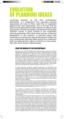### evolution of planning ideals

Landscape urbanism, as with other contemporary approaches, is a progression from preceding planning approaches and may at times seem like an opposition against these past approaches, due to the fact that the arrival of new approaches is often based in a critique of past approaches. Here the perception and practice of landscape urbanism stands in great contrast to the modernistic planning approaches from which it has evolved. A historical perspective on the evolution of planning ideals from modernism to cotemporary approaches give an insight into how contemporary planning ideals spring from modernism itself, and although they seem to contrast on many points, they also share certain understandings.

#### From the Modern to the Contemporary

Modernism was a trend of thought which embraced change and the new, therefore rejecting historical styles and tradition as a basis for architectural form and instead adopting the requirements of materials, functions and technology as design parameters. Architects and designers such as Le Corbusier, Walter Gropius and Mies van der Rohe brought modernist ideas into everyday urban life. Le Corbusier thought that building should function as "*machines for living in*", analogous to cars which he saw as machines for traveling in. These modernistic architects were rejecting historical styles and tradition as a basis for architectural form and instead adopting the requirements of materials, functions and technology as design parameters. Modernism thereby also adopted a "machine aesthetic", where beauty was found in the design that worked according to its function. (Tietz, pp.  $66 - 67$ )

xv

In Danish planning, modernism equalled functionalism and rationalism and planners sought to design cities as efficient machines, which are seen in the zoning principles and standardised dwelling typologies resulting from mass production. The modernist city plans aimed at separating functions in the city and creating a hierarchical traffic system that could separate the different transportation types. The city would no longer be clearly demarcated from the landscape – instead large green areas were drawn into the city as common areas that could offer fresh air and sunlight to the citizens. (Tietz, pp. 66 - 67) As such modernism brought forth a planning tradition in Denmark with the functional demarcation of urban functions within the city and landscape.

However, towards its end modernism was strongly criticised for focusing only on the large scale and technological rationality while neglecting local identity, public spaces and social relations. It was claimed that no real urbanism could grow from modernistic planning which sparked a longing for the vitality and mixed functions of the historical city and its components. (www.dac.dk; Tietz, pp. 66 – 67)

As a reaction to modernism, the post-modern movement was a rejection of modernistic planning and the lack of experience and aesthetic within the city. Instead post-modernism proposes an architectural stance based on traditional values and the historical city, aiming at outlining principles for the beautiful and eventful design.

A concrete example of post-modernistic planning, which is still applied today, is the *new urbanism* movement. New Urbanism is an urban planning movement that arose in the 1980's in America. The movement is a reaction to the problems surrounding urban sprawl, suburban development and traffic congestion by using planning and architectural principles to create human-scale walkable communities, celebrating the slowness of the old historical cities, creating an environment far from the dynamic and complex reality. Also known as traditional neighbourhood design, new urbanists therefore suggest a planning approach for the contemporary city that focuses on pedestrian friendly communities with a diverse range of housing and jobs, thereby encouraging mixed use. Many new residential communities in America are beginning to follow new urbanist principles and more than 600 new towns or neighbourhoods in the U.S. are currently planned or under construction.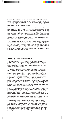both located in Florida. Both of these towns have become internationally famous and are visited each year by masses of tourists. New urbanist notions can also be recognised in a Danish context, where the urban development of Høje Taastrup applies many of the same principles. (www.cnu.org)

Examples of new urbanist neighbourhoods are Seaside and Disney's Celebration,<br>both located in Florida. Both of these towns have become internationally famous<br>and are visited each year by masses of tourists. New urbanist n New urbanism can be seen as a post-modernist movement in its rejection of modernist ideals and a search for the traditional "European" city model as promoted by Leon Krier, who has had great influence on the new urbanist ambition. However, this resort to the classical city is also criticised by many for simply being another type of sprawl due to the fact that most of the planned projects are built on previously open space. Environmentalist claim that new urbanism is nothing more than conventional sprawl dressed up with superficial traditional styles - sprawl under disguise. In this view, new urbanism is not at all sustainable as it still relies on the automobile for transport and supports the single family housing market. (www.wikipedia.dk)

Thus post-modernism can be described as a purely architectural response not answering to greater planning questions or world perceptions. Not until the 1980's and 1990's did planning truly begin to break with modernism and its dualistic perception of the world, and planning tendencies began to integrate the complexity of the contemporary city by working in more processual and dynamic ways, resulting in a new 'urbanism of our time'. This paradigm shift marks the emergence of positions such as landscape urbanism.

#### THE RISE OF LANDSCAPE URBANISM

Through a presentation of two projects from the 1930's and 40's, Charles Waldheim accounts the early emergence of an 'organic urbanism' which can be seen as early versions of landscape urbanist principles. His account here becomes the basis for a brief look into the rise of this organic way of thinking – the rise of landscape urbanism.

The emergence of the semi-urban phenomenon was in fact predicted as early as 1902 by the English writer H. G. Wells in his book Anticipations, signalized in the sentence "*these coming cities will not be, old sense, cities at all; they will present a new and entirely different phase of human distribution*." (Sieverts 2003, p. vii) He continues "*the city will diffuse itself until it has taken up considerable areas and many of the characteristics, the greenness, the fresh air, of what is now country, (and this) leads us to suppose also that the country will take to itself many of the qualities of the city. The old antithesis will indeed cease, the boundary lines will altogether disappear; it will become, indeed, merely a question of more or less populous*." (Sieverts 2003, p. vii) Here Wells is very close to describing the exact condition of the contemporary urban structures. It is remarkable that this prediction is prophesied in a time where most cities were still highly compact and created a clear distinction between country and city.

In the same way, two theoretical projects from the mid 20th century, Frank Lloyd Wright´s Broadacre city (1934-35) and Ludwig Hilberseimer's New Regional Pattern (1945-49), were ahead of their time by advocating an organic urbanism for the midsection of North America. Both Wright and Hilberseimer aimed towards an organic urban form appropriate to the North American context. While Broadacre City and The New Regional Pattern were produced a decade apart by very different architects, both foretell the decentralization of American urban form that was to come and the present-day interest in landscape urbanism.

These projects advocated a dissolution of the dichotomy that opposed nature and culture. Both projects proposed a radical decentralization and dissolution of the traditional urban figure by reversing buildings, avenues, squares etc. into landscape. The dissolution of figure into field rendered the classical distinction between city and nature irrelevant, and was thus replaced with a suburbanized regionalism. Wright's and Hilberseimer's projects were hence very foresighted in proposing a new approach to the planning of the contemporary city and in portending the future decentralization of cities by dissolving the fundamental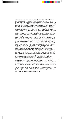distinctions between city and countryside, village and farmland and "urbanism and landscape" into the third term of landscape urbanism. (Waldheim 2007, p. 293) Both Broadacre City and the New Regional Pattern offer new ways of responding to the negative impact of the industrialized city with its economic injustice, social pathologies and unhealthy conditions, by advocating a meaningful relationship between work, family, food and civic life. Characteristic of both projects are the reduced role of architecture as the medium for structuring the conditions between extant natural environments and engineered infrastructural systems, which redefined the role of landscape in the organic ordering of public and private space. The definition of landscape is by Wright and Hilberseimer interpreted to involve more than just a beautiful picture or an environmental issue. Introducing a broad concept of landscape makes it able to work across scales, rendering the relationship between larger regional environments and social conditions visible. Especially the conception of public life is evident in the interpretation of landscape, where the public landscape for Wright is the productive agricultural land, and according to Hilberseimer, the public landscape is generated through occupied and programmed parklands. Each of the two projects points towards the contemporary approach and practice of landscape urbanism as they inflect local conditions such as individual dwelling and the public realm of infrastructures toward a set of relationships with the natural world. (Waldheim 2007, p. 301 - 302) Additionally, both Wright and Hilberseimer reveal the significance of representations such as maps, plans, diagrams and aerial views as tools to understand large-scale relationships across urbanized areas – tools which are now highly used in the landscape urbanism discipline with the aim of decoding project sites. Here the diagram casts light on planometric aspects of multiple media, hereby visualizing normally imperceptible relationships across scale and between ecological and infrastructural systems. (Waldheim 2007, pp. 302) However, both projects are still limited in their resemblance to landscape urbanism, significantly in processual ways of thinking which we see in contemporary urbanism. Neither Broadacre City nor New Regional Pattern incorporated the pace of social, cultural or technological change that are characteristic of the contemporary city, and the projects do not have the ability to absorb changes over time. Another aspect is the absence of ecological thinking, which only is dealt with in a simple and diagrammatic way. (Waldheim 2007, pp. 302 - 303)

The two projects shed light on the contemporary practice of landscape urbanism, where it is clear that they have helped towards shaping a new perception of landscape. They have in this aspect formed the practice by initiating a landscape approach to the planning of the contemporary city.

xvii